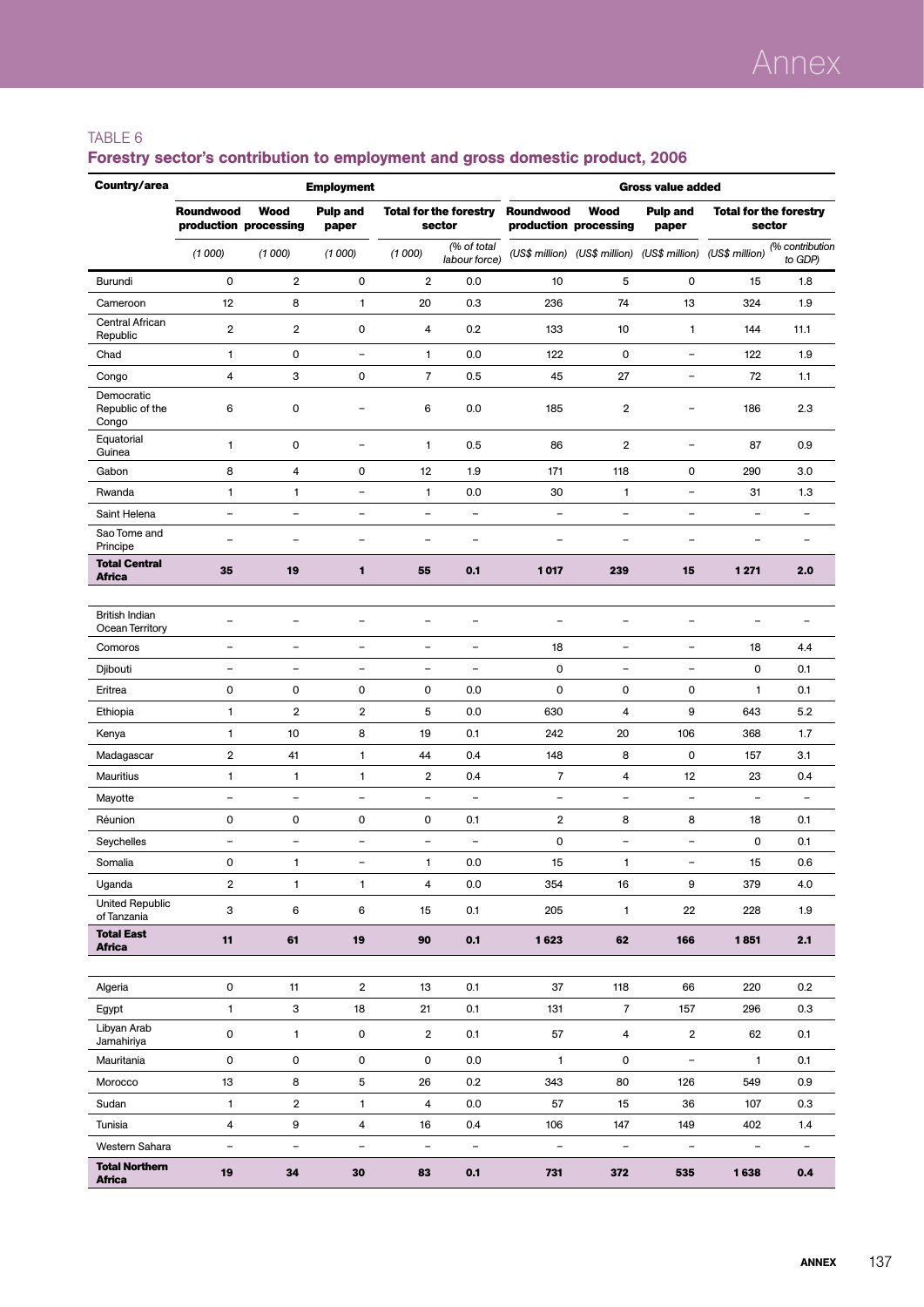### TABLE 6

| Country/area                           | <b>Employment</b><br><b>Gross value added</b> |                                      |                          |                          |                                         |                          |                                                             |                          |                                         |                            |
|----------------------------------------|-----------------------------------------------|--------------------------------------|--------------------------|--------------------------|-----------------------------------------|--------------------------|-------------------------------------------------------------|--------------------------|-----------------------------------------|----------------------------|
|                                        | Roundwood                                     | <b>Wood</b><br>production processing | <b>Pulp and</b><br>paper |                          | <b>Total for the forestry</b><br>sector | Roundwood                | <b>Wood</b><br>production processing                        | <b>Pulp and</b><br>paper | <b>Total for the forestry</b><br>sector |                            |
|                                        | (1000)                                        | (1000)                               | (1000)                   | (1000)                   | (% of total<br>labour force)            |                          | (US\$ million) (US\$ million) (US\$ million) (US\$ million) |                          |                                         | (% contribution<br>to GDP) |
| Burundi                                | $\mathbf 0$                                   | $\overline{2}$                       | $\mathbf 0$              | 2                        | 0.0                                     | 10                       | 5                                                           | 0                        | 15                                      | 1.8                        |
| Cameroon                               | 12                                            | 8                                    | 1                        | 20                       | 0.3                                     | 236                      | 74                                                          | 13                       | 324                                     | 1.9                        |
| Central African<br>Republic            | $\overline{2}$                                | $\overline{2}$                       | $\mathbf 0$              | 4                        | 0.2                                     | 133                      | 10                                                          | $\mathbf{1}$             | 144                                     | 11.1                       |
| Chad                                   | $\mathbf{1}$                                  | 0                                    | $\qquad \qquad -$        | 1                        | 0.0                                     | 122                      | $\mathbf 0$                                                 | -                        | 122                                     | 1.9                        |
| Congo                                  | 4                                             | 3                                    | 0                        | $\overline{7}$           | 0.5                                     | 45                       | 27                                                          | $\qquad \qquad -$        | 72                                      | 1.1                        |
| Democratic<br>Republic of the<br>Congo | 6                                             | 0                                    | -                        | 6                        | 0.0                                     | 185                      | $\overline{\mathbf{2}}$                                     | $\overline{\phantom{0}}$ | 186                                     | 2.3                        |
| Equatorial<br>Guinea                   | $\mathbf{1}$                                  | 0                                    | $\overline{\phantom{a}}$ | $\mathbf{1}$             | 0.5                                     | 86                       | $\overline{2}$                                              | $\overline{\phantom{0}}$ | 87                                      | 0.9                        |
| Gabon                                  | 8                                             | 4                                    | 0                        | 12                       | 1.9                                     | 171                      | 118                                                         | 0                        | 290                                     | 3.0                        |
| Rwanda                                 | $\mathbf{1}$                                  | $\mathbf{1}$                         | $\overline{\phantom{a}}$ | $\mathbf{1}$             | 0.0                                     | 30                       | 1                                                           | $\qquad \qquad -$        | 31                                      | 1.3                        |
| Saint Helena                           | $\overline{\phantom{0}}$                      | $\overline{\phantom{a}}$             | -                        | $\qquad \qquad -$        | $\overline{\phantom{0}}$                | $\overline{\phantom{a}}$ | ۳                                                           | $\overline{\phantom{0}}$ | $\overline{\phantom{0}}$                |                            |
| Sao Tome and<br>Principe               | $\overline{\phantom{0}}$                      | $\overline{\phantom{0}}$             | $\overline{\phantom{0}}$ | $\overline{\phantom{0}}$ | $\overline{\phantom{a}}$                | $\overline{\phantom{0}}$ | $\overline{\phantom{0}}$                                    | $\overline{\phantom{0}}$ | $\equiv$                                | $\blacksquare$             |
| <b>Total Central</b><br><b>Africa</b>  | 35                                            | 19                                   | 1                        | 55                       | 0.1                                     | 1017                     | 239                                                         | 15                       | 1 2 7 1                                 | 2.0                        |
|                                        |                                               |                                      |                          |                          |                                         |                          |                                                             |                          |                                         |                            |
| British Indian<br>Ocean Territory      | $\overline{\phantom{0}}$                      | $\overline{\phantom{0}}$             | $\overline{\phantom{0}}$ | $\equiv$                 | $\overline{\phantom{0}}$                | $\qquad \qquad -$        | $\overline{\phantom{a}}$                                    | -                        |                                         | $\blacksquare$             |
| Comoros                                | $\overline{\phantom{a}}$                      | $\overline{\phantom{0}}$             | $\overline{\phantom{a}}$ | $\qquad \qquad -$        | $\overline{\phantom{0}}$                | 18                       | $\overline{\phantom{a}}$                                    | $\qquad \qquad -$        | 18                                      | 4.4                        |
| Djibouti                               | $\blacksquare$                                | $\overline{\phantom{0}}$             | $\equiv$                 | $\overline{\phantom{0}}$ | $\overline{\phantom{0}}$                | 0                        | $\overline{\phantom{0}}$                                    | $\overline{\phantom{0}}$ | 0                                       | 0.1                        |
| Eritrea                                | $\pmb{0}$                                     | 0                                    | 0                        | $\mathsf 0$              | 0.0                                     | $\mathsf 0$              | $\mathbf 0$                                                 | 0                        | 1                                       | 0.1                        |
| Ethiopia                               | $\mathbf{1}$                                  | 2                                    | $\overline{\mathbf{2}}$  | 5                        | 0.0                                     | 630                      | 4                                                           | 9                        | 643                                     | 5.2                        |
| Kenya                                  | $\mathbf{1}$                                  | 10                                   | 8                        | 19                       | 0.1                                     | 242                      | 20                                                          | 106                      | 368                                     | 1.7                        |
| Madagascar                             | $\mathbf 2$                                   | 41                                   | 1                        | 44                       | 0.4                                     | 148                      | 8                                                           | 0                        | 157                                     | 3.1                        |
| Mauritius                              | $\mathbf{1}$                                  | 1                                    | 1                        | 2                        | 0.4                                     | $\overline{7}$           | 4                                                           | 12                       | 23                                      | 0.4                        |
| Mayotte                                | $\qquad \qquad -$                             | $\qquad \qquad -$                    | $\qquad \qquad -$        | $\overline{\phantom{0}}$ | $\qquad \qquad -$                       | $\overline{\phantom{m}}$ | ÷,                                                          | $\qquad \qquad -$        | $\qquad \qquad -$                       | $\overline{\phantom{0}}$   |
| Réunion                                | 0                                             | 0                                    | 0                        | 0                        | 0.1                                     | $\overline{2}$           | 8                                                           | 8                        | 18                                      | 0.1                        |
| Seychelles                             | $\overline{\phantom{0}}$                      | $\overline{\phantom{0}}$             | $\overline{\phantom{0}}$ | $\overline{\phantom{0}}$ | L.                                      | $\mathsf 0$              | ÷                                                           | $\overline{\phantom{0}}$ | 0                                       | 0.1                        |
| Somalia                                | 0                                             | 1                                    | $\qquad \qquad -$        | 1                        | 0.0                                     | 15                       | 1                                                           | -                        | 15                                      | 0.6                        |
| Uganda                                 | 2                                             | $\mathbf{1}$                         | $\mathbf{1}$             | 4                        | 0.0                                     | 354                      | 16                                                          | 9                        | 379                                     | 4.0                        |
| <b>United Republic</b><br>of Tanzania  | 3                                             | 6                                    | 6                        | 15                       | 0.1                                     | 205                      | $\mathbf{1}$                                                | 22                       | 228                                     | 1.9                        |
| <b>Total East</b><br><b>Africa</b>     | 11                                            | 61                                   | 19                       | 90                       | 0.1                                     | 1623                     | 62                                                          | 166                      | 1851                                    | 2.1                        |
|                                        |                                               |                                      |                          |                          |                                         |                          |                                                             |                          |                                         |                            |
| Algeria                                | 0                                             | 11                                   | $\overline{2}$           | 13                       | 0.1                                     | 37                       | 118                                                         | 66                       | 220                                     | 0.2                        |
| Egypt                                  | $\mathbf{1}$                                  | 3                                    | 18                       | 21                       | 0.1                                     | 131                      | $\overline{7}$                                              | 157                      | 296                                     | 0.3                        |
| Libyan Arab<br>Jamahiriya              | $\mathsf{O}\xspace$                           | $\mathbf{1}$                         | 0                        | $\overline{\mathbf{2}}$  | 0.1                                     | 57                       | $\overline{4}$                                              | $\boldsymbol{2}$         | 62                                      | 0.1                        |
| Mauritania                             | $\mathsf 0$                                   | 0                                    | $\mathsf{O}\xspace$      | 0                        | 0.0                                     | $\mathbf{1}$             | 0                                                           | $\overline{\phantom{0}}$ | $\mathbf{1}$                            | 0.1                        |
| Morocco                                | 13                                            | 8                                    | 5                        | 26                       | 0.2                                     | 343                      | 80                                                          | 126                      | 549                                     | 0.9                        |
| Sudan                                  | $\mathbf{1}$                                  | $\overline{2}$                       | 1                        | 4                        | 0.0                                     | 57                       | 15                                                          | 36                       | 107                                     | 0.3                        |
| Tunisia                                | 4                                             | 9                                    | 4                        | 16                       | 0.4                                     | 106                      | 147                                                         | 149                      | 402                                     | 1.4                        |
| Western Sahara                         | ÷,                                            | $\equiv$                             | $\bar{ }$                | $\overline{\phantom{0}}$ | $\overline{\phantom{a}}$                | $\overline{\phantom{a}}$ | $\overline{\phantom{a}}$                                    | $\overline{\phantom{a}}$ | $\overline{\phantom{a}}$                |                            |
| <b>Total Northern</b><br><b>Africa</b> | 19                                            | 34                                   | 30                       | 83                       | 0.1                                     | 731                      | 372                                                         | 535                      | 1638                                    | 0.4                        |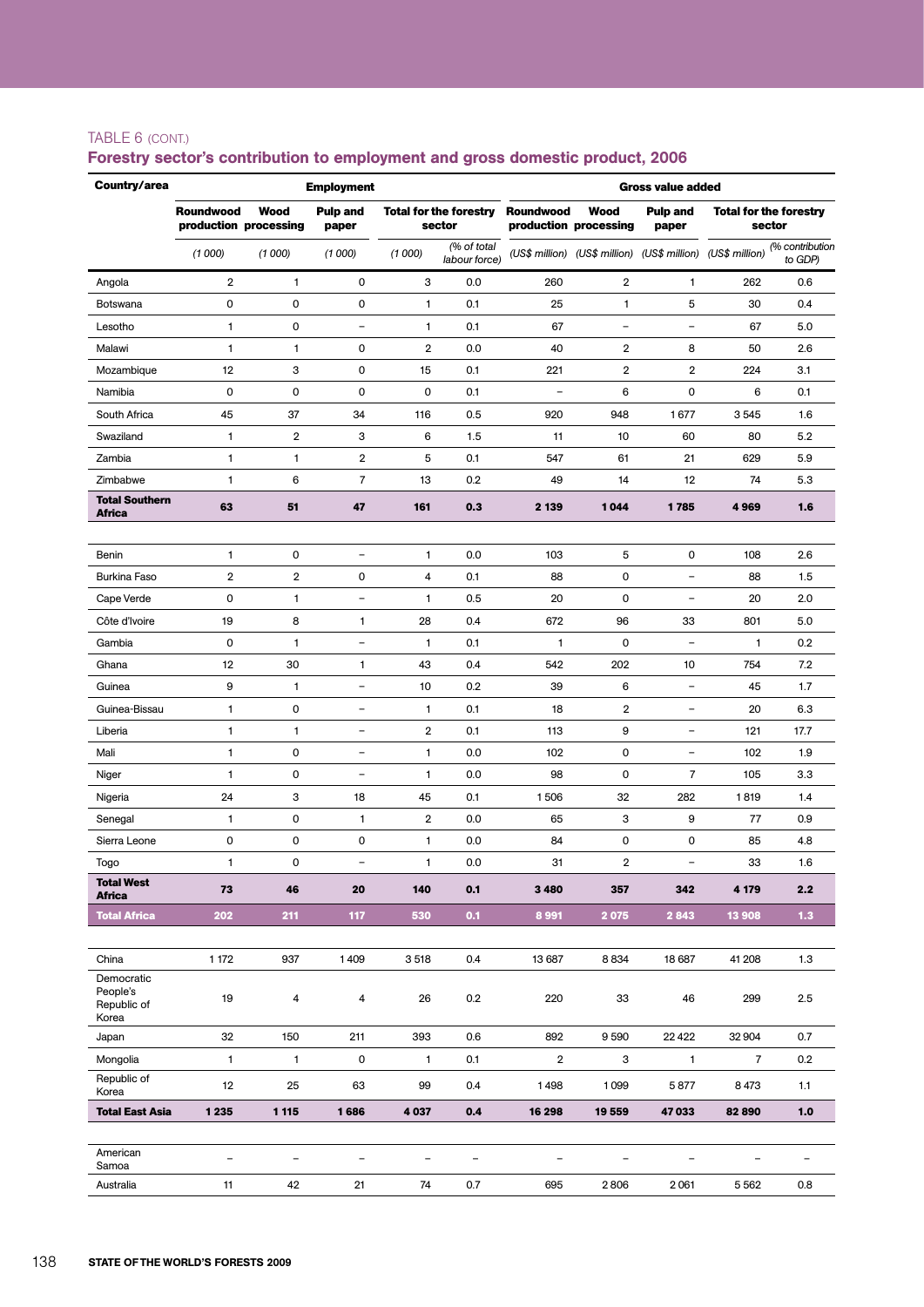#### TABLE 6 (cont.)

| Country/area                           | <b>Employment</b><br><b>Gross value added</b> |                                      |                                |                          |                                         |                          |                                                             |                          |                |                                         |
|----------------------------------------|-----------------------------------------------|--------------------------------------|--------------------------------|--------------------------|-----------------------------------------|--------------------------|-------------------------------------------------------------|--------------------------|----------------|-----------------------------------------|
|                                        | <b>Roundwood</b>                              | <b>Wood</b><br>production processing | <b>Pulp and</b><br>paper       |                          | <b>Total for the forestry</b><br>sector | Roundwood                | <b>Wood</b><br>production processing                        | <b>Pulp and</b><br>paper |                | <b>Total for the forestry</b><br>sector |
|                                        | (1000)                                        | (1000)                               | (1000)                         | (1000)                   | (% of total<br>labour force)            |                          | (US\$ million) (US\$ million) (US\$ million) (US\$ million) |                          |                | (% contribution<br>to GDP)              |
| Angola                                 | 2                                             | $\mathbf{1}$                         | 0                              | 3                        | 0.0                                     | 260                      | 2                                                           | 1                        | 262            | 0.6                                     |
| Botswana                               | 0                                             | 0                                    | 0                              | 1                        | 0.1                                     | 25                       | 1                                                           | 5                        | 30             | 0.4                                     |
| Lesotho                                | $\mathbf{1}$                                  | 0                                    | $\overline{\phantom{a}}$       | 1                        | 0.1                                     | 67                       | ÷                                                           | $\overline{\phantom{0}}$ | 67             | 5.0                                     |
| Malawi                                 | $\mathbf{1}$                                  | 1                                    | 0                              | 2                        | 0.0                                     | 40                       | 2                                                           | 8                        | 50             | 2.6                                     |
| Mozambique                             | 12                                            | 3                                    | 0                              | 15                       | 0.1                                     | 221                      | $\overline{2}$                                              | 2                        | 224            | 3.1                                     |
| Namibia                                | 0                                             | 0                                    | 0                              | 0                        | 0.1                                     | $\overline{\phantom{a}}$ | 6                                                           | 0                        | 6              | 0.1                                     |
| South Africa                           | 45                                            | 37                                   | 34                             | 116                      | 0.5                                     | 920                      | 948                                                         | 1677                     | 3545           | 1.6                                     |
| Swaziland                              | $\mathbf{1}$                                  | $\overline{2}$                       | 3                              | 6                        | 1.5                                     | 11                       | 10                                                          | 60                       | 80             | 5.2                                     |
| Zambia                                 | 1                                             | $\mathbf{1}$                         | $\overline{2}$                 | 5                        | 0.1                                     | 547                      | 61                                                          | 21                       | 629            | 5.9                                     |
| Zimbabwe                               | 1                                             | 6                                    | $\overline{7}$                 | 13                       | 0.2                                     | 49                       | 14                                                          | 12                       | 74             | 5.3                                     |
| <b>Total Southern</b><br><b>Africa</b> | 63                                            | 51                                   | 47                             | 161                      | 0.3                                     | 2 1 3 9                  | 1044                                                        | 1785                     | 4969           | 1.6                                     |
|                                        |                                               |                                      |                                |                          |                                         |                          |                                                             |                          |                |                                         |
| Benin                                  | 1                                             | 0                                    | $\overline{\phantom{a}}$       | 1                        | 0.0                                     | 103                      | 5                                                           | $\mathsf 0$              | 108            | 2.6                                     |
| <b>Burkina Faso</b>                    | $\overline{2}$                                | $\overline{2}$                       | 0                              | 4                        | 0.1                                     | 88                       | 0                                                           | $\overline{\phantom{0}}$ | 88             | 1.5                                     |
| Cape Verde                             | $\pmb{0}$                                     | $\mathbf{1}$                         | $\overline{\phantom{0}}$       | 1                        | 0.5                                     | 20                       | $\mathbf 0$                                                 | -                        | 20             | 2.0                                     |
| Côte d'Ivoire                          | 19                                            | 8                                    | 1                              | 28                       | 0.4                                     | 672                      | 96                                                          | 33                       | 801            | 5.0                                     |
| Gambia                                 | 0                                             | $\mathbf{1}$                         | $\overline{\phantom{a}}$       | 1                        | 0.1                                     | $\mathbf{1}$             | $\mathbf 0$                                                 | $\qquad \qquad -$        | $\mathbf{1}$   | 0.2                                     |
| Ghana                                  | 12                                            | 30                                   | 1                              | 43                       | 0.4                                     | 542                      | 202                                                         | 10                       | 754            | 7.2                                     |
| Guinea                                 | 9                                             | $\mathbf{1}$                         | $\qquad \qquad -$              | 10                       | 0.2                                     | 39                       | 6                                                           | $\qquad \qquad -$        | 45             | 1.7                                     |
| Guinea-Bissau                          | 1                                             | 0                                    | $\overline{\phantom{a}}$       | 1                        | 0.1                                     | 18                       | 2                                                           | $\overline{\phantom{a}}$ | 20             | 6.3                                     |
| Liberia                                | $\mathbf{1}$                                  | $\mathbf{1}$                         | $\equiv$                       | 2                        | 0.1                                     | 113                      | 9                                                           | $\overline{\phantom{0}}$ | 121            | 17.7                                    |
| Mali                                   | $\mathbf{1}$                                  | 0                                    | $\qquad \qquad -$              | 1                        | 0.0                                     | 102                      | 0                                                           | $\qquad \qquad -$        | 102            | 1.9                                     |
| Niger                                  | $\mathbf{1}$                                  | 0                                    | $\overline{\phantom{a}}$       | 1                        | 0.0                                     | 98                       | $\mathbf 0$                                                 | $\overline{7}$           | 105            | 3.3                                     |
| Nigeria                                | 24                                            | 3                                    | 18                             | 45                       | 0.1                                     | 1506                     | 32                                                          | 282                      | 1819           | 1.4                                     |
| Senegal                                | 1                                             | 0                                    | 1                              | 2                        | 0.0                                     | 65                       | 3                                                           | 9                        | 77             | 0.9                                     |
| Sierra Leone                           | $\pmb{0}$                                     | 0                                    | 0                              | 1                        | 0.0                                     | 84                       | $\mathbf 0$                                                 | 0                        | 85             | 4.8                                     |
| Togo<br><b>Total West</b>              | 1<br>73                                       | 0<br>46                              | $\overline{\phantom{m}}$<br>20 | 1<br>140                 | 0.0<br>0.1                              | 31<br>3 4 8 0            | $\overline{2}$<br>357                                       | ۳<br>342                 | 33<br>4 1 7 9  | 1.6<br>2.2                              |
| <b>Africa</b><br><b>Total Africa</b>   | 202                                           | 211                                  | 117                            | 530                      | 0.1                                     | 8 9 9 1                  | 2075                                                        | 2843                     | 13 908         | $1.3$                                   |
|                                        |                                               |                                      |                                |                          |                                         |                          |                                                             |                          |                |                                         |
| China                                  | 1 172                                         | 937                                  | 1409                           | 3518                     | 0.4                                     | 13 687                   | 8834                                                        | 18 687                   | 41 208         | 1.3                                     |
| Democratic<br>People's                 |                                               |                                      |                                |                          |                                         |                          |                                                             |                          |                |                                         |
| Republic of<br>Korea                   | 19                                            | 4                                    | 4                              | 26                       | 0.2                                     | 220                      | 33                                                          | 46                       | 299            | 2.5                                     |
| Japan                                  | 32                                            | 150                                  | 211                            | 393                      | 0.6                                     | 892                      | 9590                                                        | 22 4 22                  | 32 904         | 0.7                                     |
| Mongolia                               | $\mathbf{1}$                                  | $\mathbf{1}$                         | 0                              | 1                        | 0.1                                     | $\overline{2}$           | 3                                                           | $\mathbf{1}$             | $\overline{7}$ | 0.2                                     |
| Republic of<br>Korea                   | 12                                            | 25                                   | 63                             | 99                       | 0.4                                     | 1498                     | 1099                                                        | 5877                     | 8473           | 1.1                                     |
| <b>Total East Asia</b>                 | 1 2 3 5                                       | 1 1 1 5                              | 1686                           | 4 0 3 7                  | 0.4                                     | 16 298                   | 19 559                                                      | 47033                    | 82890          | 1.0                                     |
| American                               |                                               |                                      |                                |                          |                                         |                          |                                                             |                          |                |                                         |
| Samoa                                  | $\qquad \qquad -$                             | $\overline{\phantom{a}}$             | $\qquad \qquad -$              | $\overline{\phantom{a}}$ | $\qquad \qquad -$                       | $\overline{\phantom{a}}$ |                                                             |                          |                | -                                       |
| Australia                              | 11                                            | 42                                   | 21                             | 74                       | 0.7                                     | 695                      | 2806                                                        | 2061                     | 5562           | 0.8                                     |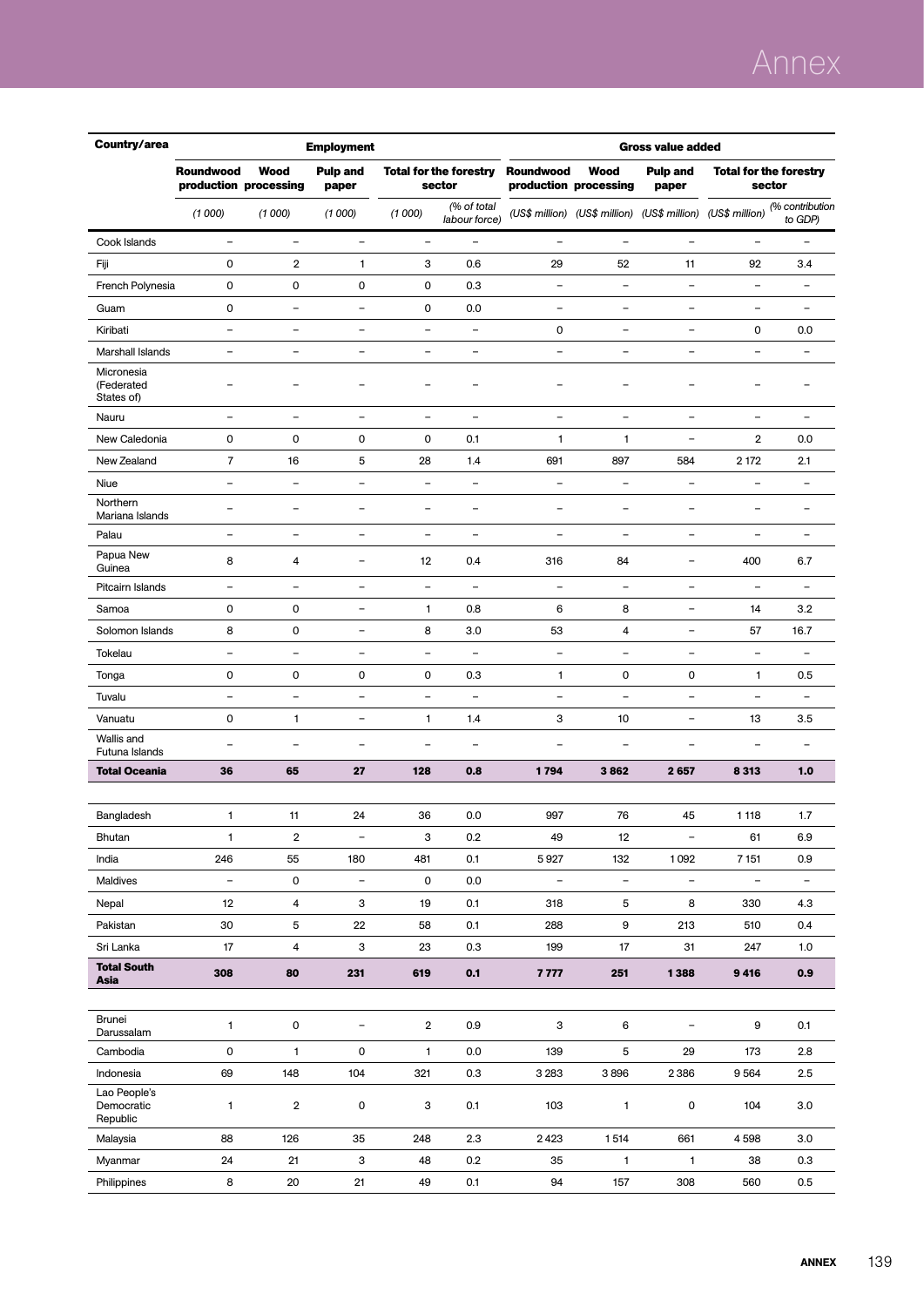# Annex

| Country/area                           | <b>Gross value added</b><br><b>Employment</b> |                               |                          |                          |                                         |                          |                                                             |                          |                          |                                         |
|----------------------------------------|-----------------------------------------------|-------------------------------|--------------------------|--------------------------|-----------------------------------------|--------------------------|-------------------------------------------------------------|--------------------------|--------------------------|-----------------------------------------|
|                                        | <b>Roundwood</b>                              | Wood<br>production processing | <b>Pulp and</b><br>paper |                          | <b>Total for the forestry</b><br>sector | <b>Roundwood</b>         | <b>Wood</b><br>production processing                        | <b>Pulp and</b><br>paper |                          | <b>Total for the forestry</b><br>sector |
|                                        | (1000)                                        | (1000)                        | (1000)                   | (1000)                   | (% of total<br>labour force)            |                          | (US\$ million) (US\$ million) (US\$ million) (US\$ million) |                          |                          | (% contribution<br>to GDP)              |
| Cook Islands                           | $\qquad \qquad -$                             | $\overline{\phantom{0}}$      | $\overline{\phantom{0}}$ | $\qquad \qquad -$        | $\qquad \qquad -$                       | $\overline{a}$           |                                                             | -                        | $\overline{\phantom{0}}$ |                                         |
| Fiji                                   | $\mathsf{O}\xspace$                           | 2                             | 1                        | 3                        | 0.6                                     | 29                       | 52                                                          | 11                       | 92                       | 3.4                                     |
| French Polynesia                       | 0                                             | 0                             | 0                        | 0                        | 0.3                                     | $\qquad \qquad -$        | ÷,                                                          | $\qquad \qquad -$        | $\qquad \qquad -$        | $\overline{\phantom{a}}$                |
| Guam                                   | $\mathsf{O}\xspace$                           | $\overline{\phantom{0}}$      | ÷                        | 0                        | 0.0                                     | $\qquad \qquad -$        | ۰                                                           | -                        | $\overline{\phantom{0}}$ |                                         |
| Kiribati                               | $\overline{\phantom{a}}$                      | $\overline{\phantom{0}}$      | $\qquad \qquad -$        | $\qquad \qquad -$        | $\overline{\phantom{a}}$                | 0                        | $\overline{\phantom{0}}$                                    | $\overline{\phantom{0}}$ | 0                        | 0.0                                     |
| Marshall Islands                       | $\overline{\phantom{m}}$                      | $\qquad \qquad -$             | ÷                        | $\overline{\phantom{a}}$ | $\overline{\phantom{a}}$                | $\qquad \qquad -$        | $\overline{\phantom{a}}$                                    | $\qquad \qquad -$        | $\overline{\phantom{0}}$ | $\overline{\phantom{a}}$                |
| Micronesia<br>(Federated<br>States of) | $\overline{\phantom{0}}$                      |                               |                          | -                        |                                         | $\overline{\phantom{a}}$ |                                                             | -                        |                          |                                         |
| Nauru                                  | $\overline{\phantom{m}}$                      | $\qquad \qquad -$             | $\qquad \qquad -$        | $\overline{\phantom{a}}$ | $\overline{\phantom{a}}$                | $\qquad \qquad -$        | $\overline{\phantom{a}}$                                    | $\qquad \qquad -$        | $\overline{\phantom{0}}$ | $\overline{\phantom{a}}$                |
| New Caledonia                          | $\mathsf{O}\xspace$                           | 0                             | 0                        | 0                        | 0.1                                     | $\mathbf{1}$             | 1                                                           | $\rightarrow$            | $\mathbf 2$              | 0.0                                     |
| New Zealand                            | $\overline{7}$                                | 16                            | 5                        | 28                       | 1.4                                     | 691                      | 897                                                         | 584                      | 2 172                    | 2.1                                     |
| Niue                                   | $\overline{\phantom{a}}$                      | $\qquad \qquad -$             | $\qquad \qquad -$        | $\qquad \qquad -$        | $\overline{\phantom{a}}$                | $\qquad \qquad -$        | $\overline{\phantom{a}}$                                    | $\qquad \qquad -$        | $\qquad \qquad -$        | $\overline{\phantom{a}}$                |
| Northern<br>Mariana Islands            | $\overline{\phantom{0}}$                      | $\overline{\phantom{0}}$      | ۰                        | $\qquad \qquad -$        | $\qquad \qquad -$                       | $\qquad \qquad -$        | $\overline{\phantom{0}}$                                    | $\overline{\phantom{0}}$ | $\overline{\phantom{0}}$ | $\overline{\phantom{0}}$                |
| Palau                                  | $\overline{\phantom{a}}$                      | $\overline{\phantom{0}}$      | $\qquad \qquad -$        | $\qquad \qquad -$        | $\overline{\phantom{a}}$                | $\overline{a}$           | $\overline{\phantom{a}}$                                    | -                        | -                        | $\qquad \qquad -$                       |
| Papua New<br>Guinea                    | 8                                             | 4                             | ÷                        | 12                       | 0.4                                     | 316                      | 84                                                          | $\overline{\phantom{0}}$ | 400                      | 6.7                                     |
| Pitcairn Islands                       | $\overline{\phantom{0}}$                      | ÷                             | Ē,                       | $\overline{\phantom{0}}$ | $\overline{\phantom{a}}$                | $\overline{a}$           | $\overline{\phantom{0}}$                                    | $\overline{\phantom{0}}$ |                          |                                         |
| Samoa                                  | $\mathsf{O}\xspace$                           | $\mathbf 0$                   | $\qquad \qquad -$        | 1                        | 0.8                                     | 6                        | 8                                                           | $\qquad \qquad -$        | 14                       | 3.2                                     |
| Solomon Islands                        | 8                                             | 0                             | $\qquad \qquad -$        | 8                        | 3.0                                     | 53                       | 4                                                           | $\overline{\phantom{0}}$ | 57                       | 16.7                                    |
| Tokelau                                | $\overline{\phantom{a}}$                      | ÷                             | $\overline{\phantom{0}}$ | $\overline{\phantom{0}}$ | $\overline{\phantom{m}}$                | $\overline{a}$           | $\overline{\phantom{0}}$                                    | $\overline{\phantom{0}}$ | $\overline{\phantom{0}}$ |                                         |
| Tonga                                  | $\mathsf{O}\xspace$                           | 0                             | 0                        | 0                        | 0.3                                     | 1                        | 0                                                           | $\mathsf{O}\xspace$      | 1                        | 0.5                                     |
| Tuvalu                                 | $\blacksquare$                                | $\overline{\phantom{0}}$      | $\overline{\phantom{0}}$ | $\overline{\phantom{0}}$ | $\blacksquare$                          | $\overline{\phantom{a}}$ | $\blacksquare$                                              | $\overline{\phantom{a}}$ | $\overline{\phantom{0}}$ | $\blacksquare$                          |
| Vanuatu                                | $\mathsf{O}\xspace$                           | 1                             | $\qquad \qquad -$        | 1                        | 1.4                                     | 3                        | 10                                                          | $\overline{\phantom{0}}$ | 13                       | 3.5                                     |
| Wallis and<br>Futuna Islands           | $\overline{\phantom{0}}$                      | $\overline{\phantom{0}}$      | L.                       | $\overline{\phantom{0}}$ | $\equiv$                                | ÷,                       | ÷                                                           | $\overline{\phantom{0}}$ |                          | $\overline{\phantom{0}}$                |
| <b>Total Oceania</b>                   | 36                                            | 65                            | 27                       | 128                      | 0.8                                     | 1794                     | 3862                                                        | 2 6 5 7                  | 8313                     | 1.0                                     |
|                                        |                                               |                               |                          |                          |                                         |                          |                                                             |                          |                          |                                         |
| Bangladesh                             | 1                                             | 11                            | 24                       | 36                       | 0.0                                     | 997                      | 76                                                          | 45                       | 1 1 1 8                  | 1.7                                     |
| Bhutan                                 | $\mathbf{1}$                                  | $\overline{\mathbf{2}}$       | $\overline{\phantom{a}}$ | 3                        | 0.2                                     | 49                       | 12                                                          | $\overline{\phantom{a}}$ | 61                       | 6.9                                     |
| India                                  | 246                                           | 55                            | 180                      | 481                      | 0.1                                     | 5927                     | 132                                                         | 1092                     | 7 1 5 1                  | 0.9                                     |
| Maldives                               | $\overline{\phantom{a}}$                      | $\mathsf{O}\xspace$           | $\overline{\phantom{a}}$ | 0                        | 0.0                                     | $\overline{\phantom{a}}$ | $\overline{\phantom{a}}$                                    | $\overline{\phantom{a}}$ | $\overline{\phantom{a}}$ | $\overline{\phantom{a}}$                |
| Nepal                                  | 12                                            | 4                             | 3                        | 19                       | 0.1                                     | 318                      | 5                                                           | 8                        | 330                      | 4.3                                     |
| Pakistan                               | 30                                            | 5                             | 22                       | 58                       | 0.1                                     | 288                      | 9                                                           | 213                      | 510                      | 0.4                                     |
| Sri Lanka                              | 17                                            | 4                             | 3                        | 23                       | 0.3                                     | 199                      | 17                                                          | 31                       | 247                      | 1.0                                     |
| <b>Total South</b><br>Asia             | 308                                           | 80                            | 231                      | 619                      | 0.1                                     | 7777                     | 251                                                         | 1388                     | 9416                     | 0.9                                     |
|                                        |                                               |                               |                          |                          |                                         |                          |                                                             |                          |                          |                                         |
| Brunei<br>Darussalam                   | $\mathbf{1}$                                  | $\mathsf 0$                   | $\qquad \qquad -$        | $\overline{2}$           | 0.9                                     | 3                        | 6                                                           | $\overline{\phantom{a}}$ | 9                        | 0.1                                     |
| Cambodia                               | 0                                             | $\mathbf{1}$                  | 0                        | 1                        | 0.0                                     | 139                      | 5                                                           | 29                       | 173                      | 2.8                                     |
| Indonesia                              | 69                                            | 148                           | 104                      | 321                      | 0.3                                     | 3 2 8 3                  | 3896                                                        | 2386                     | 9564                     | 2.5                                     |
| Lao People's<br>Democratic<br>Republic | $\mathbf{1}$                                  | $\overline{\mathbf{2}}$       | 0                        | 3                        | 0.1                                     | 103                      | $\mathbf{1}$                                                | 0                        | 104                      | 3.0                                     |
| Malaysia                               | 88                                            | 126                           | 35                       | 248                      | 2.3                                     | 2423                     | 1514                                                        | 661                      | 4598                     | 3.0                                     |
| Myanmar                                | 24                                            | 21                            | 3                        | 48                       | 0.2                                     | 35                       | $\mathbf{1}$                                                | $\mathbf{1}$             | 38                       | 0.3                                     |
| Philippines                            | 8                                             | 20                            | 21                       | 49                       | 0.1                                     | 94                       | 157                                                         | 308                      | 560                      | 0.5                                     |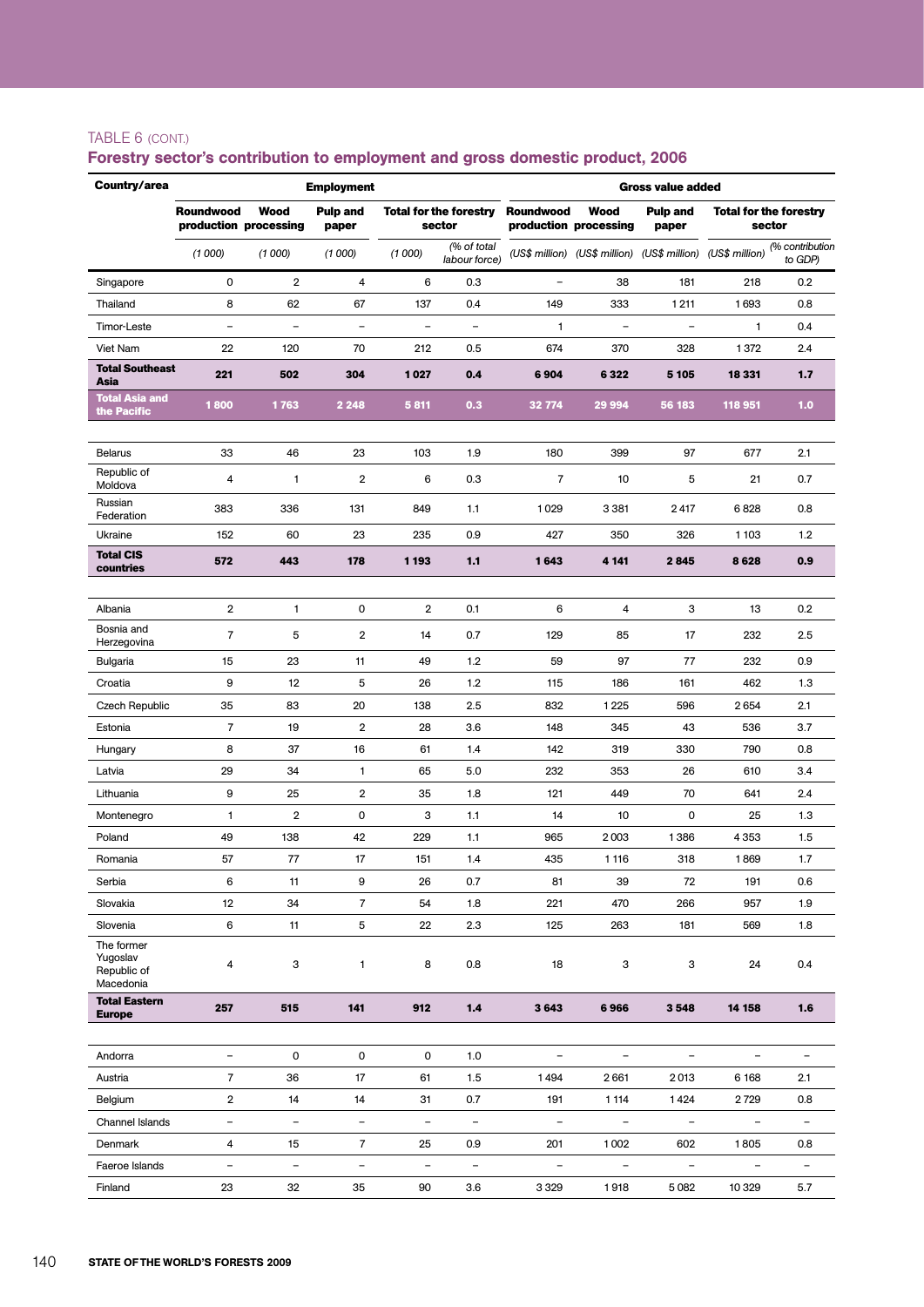#### TABLE 6 (cont.)

| Country/area                                       |                                            |                          | <b>Employment</b>        |                          |                                         | <b>Gross value added</b>  |                                                             |                                  |                                         |                            |  |
|----------------------------------------------------|--------------------------------------------|--------------------------|--------------------------|--------------------------|-----------------------------------------|---------------------------|-------------------------------------------------------------|----------------------------------|-----------------------------------------|----------------------------|--|
|                                                    | <b>Roundwood</b><br>production processing  | Wood                     | <b>Pulp and</b><br>paper |                          | <b>Total for the forestry</b><br>sector | <b>Roundwood</b>          | Wood<br>production processing                               | <b>Pulp and</b><br>paper         | <b>Total for the forestry</b><br>sector |                            |  |
|                                                    | (1000)                                     | (1000)                   | (1000)                   | (1000)                   | (% of total<br>labour force)            |                           | (US\$ million) (US\$ million) (US\$ million) (US\$ million) |                                  |                                         | (% contribution<br>to GDP) |  |
| Singapore                                          | 0                                          | $\mathbf 2$              | 4                        | 6                        | 0.3                                     | $\overline{\phantom{m}}$  | 38                                                          | 181                              | 218                                     | 0.2                        |  |
| Thailand                                           | 8                                          | 62                       | 67                       | 137                      | 0.4                                     | 149                       | 333                                                         | 1 2 1 1                          | 1693                                    | 0.8                        |  |
| Timor-Leste                                        | $\overline{\phantom{a}}$                   | $\overline{\phantom{0}}$ | $\qquad \qquad -$        | -                        | $\overline{\phantom{a}}$                | 1                         |                                                             |                                  | 1                                       | 0.4                        |  |
| Viet Nam                                           | 22                                         | 120                      | 70                       | 212                      | 0.5                                     | 674                       | 370                                                         | 328                              | 1372                                    | 2.4                        |  |
| <b>Total Southeast</b><br>Asia                     | 221                                        | 502                      | 304                      | 1027                     | 0.4                                     | 6904                      | 6322                                                        | 5 1 0 5                          | 18 331                                  | 1.7                        |  |
| <b>Total Asia and</b><br>the Pacific               | 1800                                       | 1763                     | 2 2 4 8                  | 5 8 1 1                  | 0.3                                     | 32 774                    | 29 994                                                      | 56 183                           | 118 951                                 | 1.0                        |  |
| <b>Belarus</b>                                     | 33                                         | 46                       | 23                       | 103                      | 1.9                                     | 180                       | 399                                                         | 97                               | 677                                     | 2.1                        |  |
| Republic of<br>Moldova                             | 4                                          | 1                        | $\overline{2}$           | 6                        | 0.3                                     | 7                         | 10                                                          | 5                                | 21                                      | 0.7                        |  |
| Russian<br>Federation                              | 383                                        | 336                      | 131                      | 849                      | 1.1                                     | 1029                      | 3 3 8 1                                                     | 2417                             | 6828                                    | 0.8                        |  |
| Ukraine                                            | 152                                        | 60                       | 23                       | 235                      | 0.9                                     | 427                       | 350                                                         | 326                              | 1 1 0 3                                 | 1.2                        |  |
| <b>Total CIS</b><br>countries                      | 572                                        | 443                      | 178                      | 1 1 9 3                  | 1.1                                     | 1643                      | 4 1 4 1                                                     | 2845                             | 8628                                    | 0.9                        |  |
|                                                    |                                            |                          |                          |                          |                                         |                           |                                                             |                                  |                                         |                            |  |
| Albania<br>Bosnia and                              | $\overline{2}$                             | 1                        | 0                        | $\overline{\mathbf{2}}$  | 0.1                                     | 6                         | 4                                                           | 3                                | 13                                      | 0.2                        |  |
| Herzegovina                                        | $\overline{7}$                             | 5                        | $\overline{2}$           | 14                       | 0.7                                     | 129                       | 85                                                          | 17                               | 232                                     | 2.5                        |  |
| Bulgaria                                           | 15                                         | 23                       | 11                       | 49                       | 1.2                                     | 59                        | 97                                                          | 77                               | 232                                     | 0.9                        |  |
| Croatia                                            | 9                                          | 12                       | 5                        | 26                       | $1.2$                                   | 115                       | 186                                                         | 161                              | 462                                     | 1.3                        |  |
| Czech Republic                                     | 35                                         | 83                       | 20                       | 138                      | 2.5                                     | 832                       | 1225                                                        | 596                              | 2654                                    | 2.1                        |  |
| Estonia                                            | 7                                          | 19                       | $\overline{2}$           | 28                       | 3.6                                     | 148                       | 345                                                         | 43                               | 536                                     | 3.7                        |  |
| Hungary<br>Latvia                                  | 8<br>29                                    | 37<br>34                 | 16<br>1                  | 61<br>65                 | 1.4<br>5.0                              | 142<br>232                | 319<br>353                                                  | 330<br>26                        | 790<br>610                              | 0.8<br>3.4                 |  |
| Lithuania                                          | 9                                          | 25                       | 2                        | 35                       | 1.8                                     | 121                       | 449                                                         | 70                               | 641                                     | 2.4                        |  |
| Montenegro                                         | 1                                          | $\overline{2}$           | $\pmb{0}$                | 3                        | 1.1                                     | 14                        | 10                                                          | 0                                | 25                                      | 1.3                        |  |
| Poland                                             | 49                                         | 138                      | 42                       | 229                      | 1.1                                     | 965                       | 2003                                                        | 1386                             | 4 3 5 3                                 | 1.5                        |  |
| Romania                                            | 57                                         | 77                       | 17                       | 151                      | 1.4                                     | 435                       | 1 1 1 6                                                     | 318                              | 1869                                    | 1.7                        |  |
| Serbia                                             | 6                                          | 11                       | 9                        | 26                       | 0.7                                     | 81                        | 39                                                          | 72                               | 191                                     | 0.6                        |  |
| Slovakia                                           | 12                                         | 34                       | $\overline{7}$           | 54                       | 1.8                                     | 221                       | 470                                                         | 266                              | 957                                     | 1.9                        |  |
| Slovenia                                           | 6                                          | 11                       | 5                        | 22                       | 2.3                                     | 125                       | 263                                                         | 181                              | 569                                     | 1.8                        |  |
| The former<br>Yugoslav<br>Republic of<br>Macedonia | 4                                          | 3                        | 1                        | 8                        | 0.8                                     | 18                        | 3                                                           | 3                                | 24                                      | 0.4                        |  |
| <b>Total Eastern</b><br><b>Europe</b>              | 257                                        | 515                      | 141                      | 912                      | 1.4                                     | 3643                      | 6966                                                        | 3548                             | 14 158                                  | 1.6                        |  |
|                                                    |                                            |                          |                          |                          |                                         |                           |                                                             |                                  | $\qquad \qquad -$                       |                            |  |
| Andorra<br>Austria                                 | $\overline{\phantom{a}}$<br>$\overline{7}$ | 0<br>36                  | 0<br>17                  | 0<br>61                  | 1.0<br>1.5                              | $\qquad \qquad -$<br>1494 | $\overline{\phantom{a}}$<br>2661                            | $\overline{\phantom{0}}$<br>2013 | 6 1 6 8                                 | 2.1                        |  |
| Belgium                                            | 2                                          | 14                       | 14                       | 31                       | 0.7                                     | 191                       | 1 1 1 4                                                     | 1424                             | 2729                                    | 0.8                        |  |
| Channel Islands                                    | $\overline{\phantom{a}}$                   | $\qquad \qquad -$        | $\overline{\phantom{a}}$ | $\overline{\phantom{a}}$ | $\overline{\phantom{a}}$                | $\qquad \qquad -$         | $\overline{\phantom{a}}$                                    | $\overline{\phantom{a}}$         | $\overline{\phantom{a}}$                | $\overline{\phantom{a}}$   |  |
| Denmark                                            | 4                                          | 15                       | $\overline{7}$           | 25                       | 0.9                                     | 201                       | 1002                                                        | 602                              | 1805                                    | 0.8                        |  |
| Faeroe Islands                                     | $\qquad \qquad -$                          | $\qquad \qquad -$        | $\qquad \qquad -$        | $\qquad \qquad -$        | $\overline{\phantom{a}}$                | $\overline{\phantom{a}}$  | $\overline{\phantom{a}}$                                    | -                                | $\overline{\phantom{a}}$                | $\overline{\phantom{a}}$   |  |
| Finland                                            | 23                                         | 32                       | 35                       | 90                       | 3.6                                     | 3 3 2 9                   | 1918                                                        | 5 0 8 2                          | 10 329                                  | 5.7                        |  |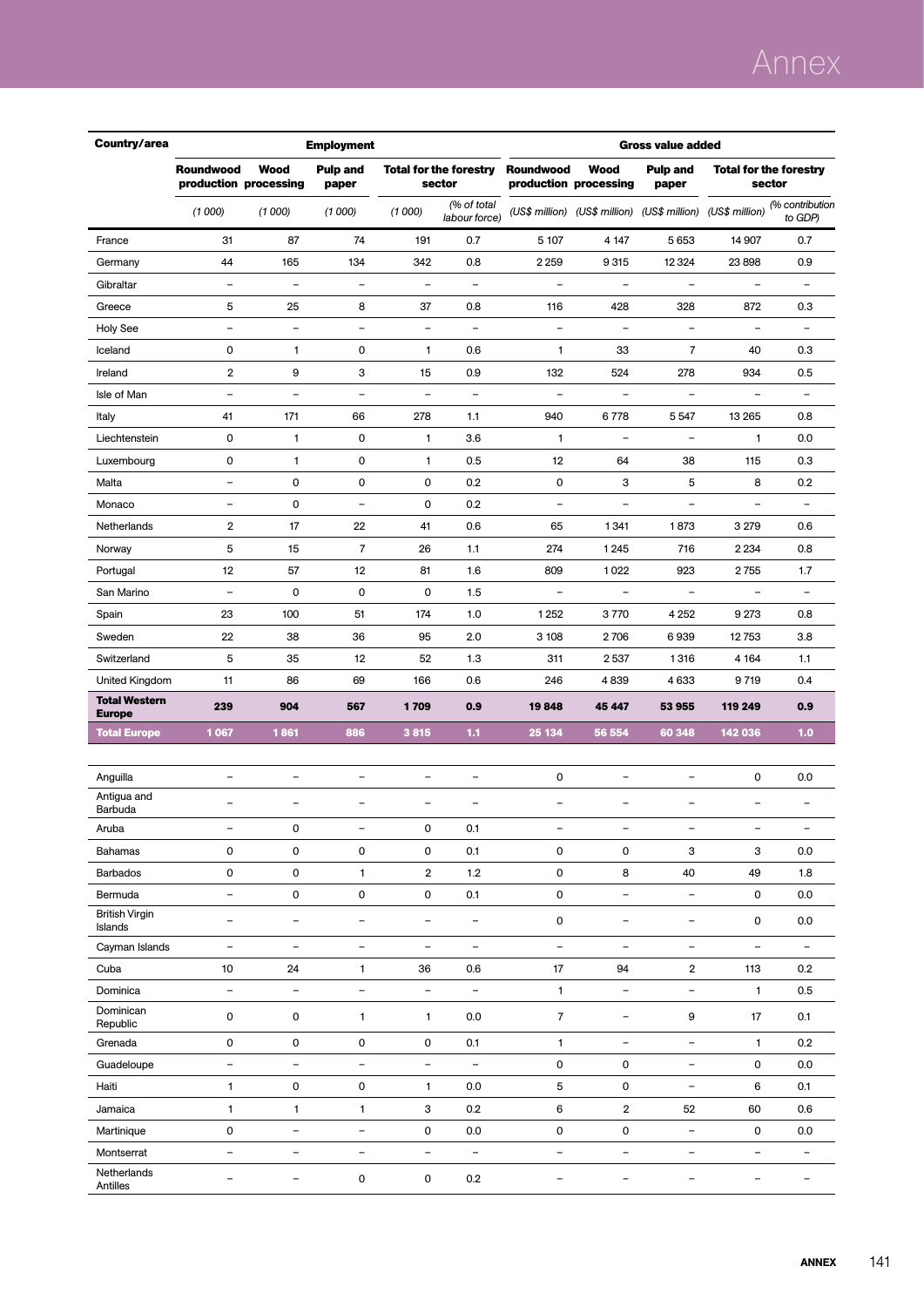# Annex

| Country/area                          | <b>Employment</b><br><b>Gross value added</b> |                               |                          |                          |                                         |                          |                                      |                                                             |                          |                                         |
|---------------------------------------|-----------------------------------------------|-------------------------------|--------------------------|--------------------------|-----------------------------------------|--------------------------|--------------------------------------|-------------------------------------------------------------|--------------------------|-----------------------------------------|
|                                       | <b>Roundwood</b>                              | Wood<br>production processing | <b>Pulp and</b><br>paper |                          | <b>Total for the forestry</b><br>sector | Roundwood                | <b>Wood</b><br>production processing | <b>Pulp and</b><br>paper                                    |                          | <b>Total for the forestry</b><br>sector |
|                                       | (1000)                                        | (1000)                        | (1000)                   | (1000)                   | (% of total<br>labour force)            |                          |                                      | (US\$ million) (US\$ million) (US\$ million) (US\$ million) |                          | (% contribution<br>to GDP)              |
| France                                | 31                                            | 87                            | 74                       | 191                      | 0.7                                     | 5 107                    | 4 1 4 7                              | 5653                                                        | 14 907                   | 0.7                                     |
| Germany                               | 44                                            | 165                           | 134                      | 342                      | 0.8                                     | 2 2 5 9                  | 9315                                 | 12 3 24                                                     | 23 898                   | 0.9                                     |
| Gibraltar                             | $\overline{\phantom{a}}$                      | $\overline{\phantom{a}}$      | $\overline{\phantom{a}}$ | $\overline{\phantom{a}}$ | $\overline{\phantom{a}}$                | $\overline{\phantom{a}}$ | $\overline{\phantom{a}}$             | $\overline{\phantom{a}}$                                    | $\overline{\phantom{a}}$ | $\overline{\phantom{a}}$                |
| Greece                                | 5                                             | 25                            | 8                        | 37                       | 0.8                                     | 116                      | 428                                  | 328                                                         | 872                      | 0.3                                     |
| <b>Holy See</b>                       | $\overline{a}$                                | $\overline{\phantom{a}}$      | $\overline{\phantom{a}}$ | -                        | $\overline{\phantom{a}}$                | $\qquad \qquad -$        | $\blacksquare$                       | $\qquad \qquad -$                                           | $\overline{\phantom{0}}$ | $\overline{\phantom{0}}$                |
| Iceland                               | 0                                             | 1                             | 0                        | 1                        | 0.6                                     | $\mathbf{1}$             | 33                                   | $\overline{7}$                                              | 40                       | 0.3                                     |
| Ireland                               | $\overline{\mathbf{2}}$                       | 9                             | 3                        | 15                       | 0.9                                     | 132                      | 524                                  | 278                                                         | 934                      | 0.5                                     |
| Isle of Man                           | $\overline{\phantom{m}}$                      | $\overline{\phantom{a}}$      | $\overline{\phantom{a}}$ | $\overline{\phantom{0}}$ | $\equiv$                                | $\qquad \qquad -$        | $\overline{\phantom{a}}$             | $\qquad \qquad -$                                           | $\overline{\phantom{0}}$ | $\overline{\phantom{a}}$                |
| Italy                                 | 41                                            | 171                           | 66                       | 278                      | 1.1                                     | 940                      | 6778                                 | 5 5 4 7                                                     | 13 265                   | 0.8                                     |
| Liechtenstein                         | $\mathsf 0$                                   | $\mathbf{1}$                  | 0                        | 1                        | 3.6                                     | $\mathbf{1}$             |                                      | $\overline{\phantom{0}}$                                    | $\mathbf{1}$             | 0.0                                     |
| Luxembourg                            | 0                                             | $\mathbf{1}$                  | 0                        | 1                        | 0.5                                     | 12                       | 64                                   | 38                                                          | 115                      | 0.3                                     |
| Malta                                 | $\blacksquare$                                | 0                             | 0                        | 0                        | 0.2                                     | 0                        | 3                                    | 5                                                           | 8                        | 0.2                                     |
| Monaco                                | $\qquad \qquad -$                             | 0                             | $\overline{\phantom{a}}$ | 0                        | 0.2                                     | $\qquad \qquad -$        | $\qquad \qquad -$                    | $\overline{\phantom{0}}$                                    | $\overline{\phantom{0}}$ | $\qquad \qquad -$                       |
| Netherlands                           | $\overline{2}$                                | 17                            | 22                       | 41                       | 0.6                                     | 65                       | 1341                                 | 1873                                                        | 3 2 7 9                  | 0.6                                     |
| Norway                                | 5                                             | 15                            | $\overline{7}$           | 26                       | 1.1                                     | 274                      | 1 2 4 5                              | 716                                                         | 2 2 3 4                  | 0.8                                     |
| Portugal                              | 12                                            | 57                            | 12                       | 81                       | 1.6                                     | 809                      | 1022                                 | 923                                                         | 2755                     | 1.7                                     |
| San Marino                            | $\overline{\phantom{a}}$                      | 0                             | 0                        | 0                        | 1.5                                     | $\overline{\phantom{a}}$ | $\overline{\phantom{a}}$             | $\overline{\phantom{a}}$                                    | $\overline{\phantom{a}}$ | $\overline{\phantom{a}}$                |
| Spain                                 | 23                                            | 100                           | 51                       | 174                      | 1.0                                     | 1 2 5 2                  | 3770                                 | 4 2 5 2                                                     | 9 2 7 3                  | 0.8                                     |
| Sweden                                | 22                                            | 38                            | 36                       | 95                       | 2.0                                     | 3 108                    | 2706                                 | 6939                                                        | 12753                    | 3.8                                     |
| Switzerland                           | 5                                             | 35                            | 12                       | 52                       | 1.3                                     | 311                      | 2537                                 | 1316                                                        | 4 1 64                   | 1.1                                     |
| United Kingdom                        | 11                                            | 86                            | 69                       | 166                      | 0.6                                     | 246                      | 4839                                 | 4633                                                        | 9719                     | 0.4                                     |
| <b>Total Western</b><br><b>Europe</b> | 239                                           | 904                           | 567                      | 1709                     | 0.9                                     | 19848                    | 45 447                               | 53 955                                                      | 119 249                  | 0.9                                     |
| <b>Total Europe</b>                   | 1067                                          | 1861                          | 886                      | 3815                     | 1.1                                     | 25 134                   | 56 554                               | 60 348                                                      | 142 036                  | 1.0                                     |
|                                       |                                               |                               |                          |                          |                                         |                          |                                      |                                                             |                          |                                         |
| Anguilla                              | $\overline{\phantom{a}}$                      | $\overline{\phantom{a}}$      | $\overline{\phantom{a}}$ | $\overline{\phantom{a}}$ | $\qquad \qquad -$                       | 0                        | $\overline{\phantom{a}}$             | $\qquad \qquad -$                                           | 0                        | 0.0                                     |
| Antigua and<br>Barbuda                | L,                                            | ÷                             | $\overline{\phantom{0}}$ | L,                       | $\overline{\phantom{0}}$                | $\overline{\phantom{0}}$ | $\overline{\phantom{a}}$             | L,                                                          |                          | $\overline{\phantom{0}}$                |
| Aruba                                 |                                               | 0                             |                          | 0                        | 0.1                                     |                          |                                      |                                                             |                          |                                         |
| <b>Bahamas</b>                        | 0                                             | 0                             | 0                        | 0                        | 0.1                                     | 0                        | 0                                    | 3                                                           | 3                        | 0.0                                     |
| Barbados                              | 0                                             | 0                             | $\mathbf{1}$             | $\overline{\mathbf{2}}$  | 1.2                                     | 0                        | 8                                    | 40                                                          | 49                       | 1.8                                     |
| Bermuda                               | $\qquad \qquad -$                             | 0                             | $\pmb{0}$                | $\mathsf{O}\xspace$      | 0.1                                     | 0                        | $\qquad \qquad -$                    | $\qquad \qquad -$                                           | 0                        | 0.0                                     |
| <b>British Virgin</b><br>Islands      | $\qquad \qquad -$                             | $\overline{\phantom{a}}$      | $\overline{\phantom{a}}$ | $\overline{\phantom{a}}$ | $\equiv$                                | 0                        | $\overline{\phantom{a}}$             | $\qquad \qquad -$                                           | 0                        | 0.0                                     |
| Cayman Islands                        | $\overline{\phantom{a}}$                      | $\overline{\phantom{a}}$      | $\overline{\phantom{a}}$ | $\overline{\phantom{a}}$ | $\overline{\phantom{a}}$                | $\bar{ }$                | $\overline{\phantom{a}}$             | $\overline{\phantom{a}}$                                    | $\overline{\phantom{a}}$ | $\overline{\phantom{a}}$                |
| Cuba                                  | 10                                            | 24                            | $\mathbf{1}$             | 36                       | 0.6                                     | 17                       | 94                                   | 2                                                           | 113                      | 0.2                                     |
| Dominica                              | $\overline{\phantom{a}}$                      | -                             | -                        | $\overline{\phantom{a}}$ | $\overline{\phantom{a}}$                | $\mathbf{1}$             | $\overline{\phantom{a}}$             | $\overline{\phantom{a}}$                                    | $\mathbf{1}$             | 0.5                                     |
| Dominican<br>Republic                 | 0                                             | 0                             | 1                        | 1                        | 0.0                                     | $\overline{7}$           | $\overline{\phantom{a}}$             | 9                                                           | 17                       | 0.1                                     |
| Grenada                               | 0                                             | 0                             | $\pmb{0}$                | $\mathsf{O}\xspace$      | 0.1                                     | $\mathbf{1}$             | $\overline{\phantom{a}}$             | $\overline{\phantom{0}}$                                    | $\mathbf{1}$             | 0.2                                     |
| Guadeloupe                            | $\qquad \qquad -$                             | $\qquad \qquad -$             | $\overline{a}$           | $\overline{\phantom{a}}$ | $\overline{\phantom{a}}$                | 0                        | 0                                    | -                                                           | 0                        | 0.0                                     |
| Haiti                                 | 1                                             | 0                             | 0                        | 1                        | 0.0                                     | 5                        | 0                                    | $\qquad \qquad -$                                           | 6                        | 0.1                                     |
| Jamaica                               | 1                                             | 1                             | $\mathbf{1}$             | 3                        | 0.2                                     | 6                        | $\overline{2}$                       | 52                                                          | 60                       | 0.6                                     |
| Martinique                            | $\mathsf{O}\xspace$                           | $\overline{\phantom{0}}$      | $\qquad \qquad -$        | 0                        | 0.0                                     | 0                        | 0                                    | $\qquad \qquad -$                                           | 0                        | 0.0                                     |
| Montserrat                            | $\qquad \qquad -$                             | $\overline{\phantom{0}}$      | $\qquad \qquad -$        | $\qquad \qquad -$        | $\overline{\phantom{a}}$                | $\overline{\phantom{a}}$ | $\overline{\phantom{a}}$             | $\qquad \qquad -$                                           | $\qquad \qquad -$        | $\qquad \qquad -$                       |
| Netherlands<br>Antilles               | $\qquad \qquad -$                             | $\qquad \qquad -$             | 0                        | 0                        | 0.2                                     | -                        | $\overline{\phantom{a}}$             | $\qquad \qquad -$                                           | $\qquad \qquad -$        | $\qquad \qquad -$                       |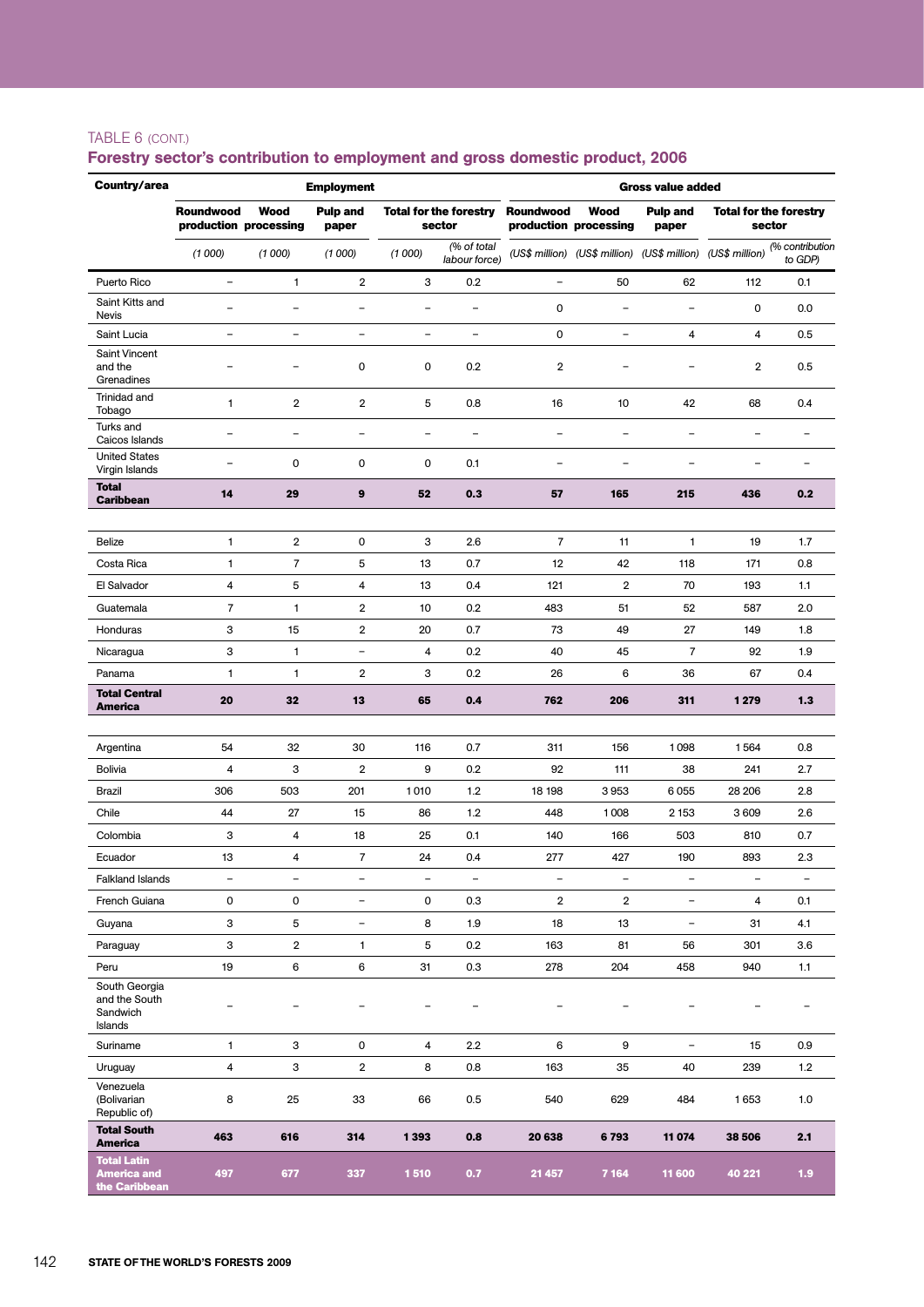#### TABLE 6 (cont.)

| Country/area                                              | <b>Employment</b><br><b>Gross value added</b> |                                      |                          |                          |                                         |                          |                                                             |                          |                                         |                            |
|-----------------------------------------------------------|-----------------------------------------------|--------------------------------------|--------------------------|--------------------------|-----------------------------------------|--------------------------|-------------------------------------------------------------|--------------------------|-----------------------------------------|----------------------------|
|                                                           | Roundwood                                     | <b>Wood</b><br>production processing | <b>Pulp and</b><br>paper |                          | <b>Total for the forestry</b><br>sector | Roundwood                | Wood<br>production processing                               | <b>Pulp and</b><br>paper | <b>Total for the forestry</b><br>sector |                            |
|                                                           | (1000)                                        | (1000)                               | (1000)                   | (1000)                   | (% of total<br>labour force)            |                          | (US\$ million) (US\$ million) (US\$ million) (US\$ million) |                          |                                         | (% contribution<br>to GDP) |
| Puerto Rico                                               | $\qquad \qquad -$                             | 1                                    | $\overline{2}$           | 3                        | 0.2                                     | $\overline{\phantom{a}}$ | 50                                                          | 62                       | 112                                     | 0.1                        |
| Saint Kitts and<br>Nevis                                  | $\overline{\phantom{0}}$                      | -                                    | $\overline{\phantom{0}}$ | $\equiv$                 | $\overline{\phantom{0}}$                | $\mathbf 0$              | ÷                                                           | $\overline{\phantom{0}}$ | 0                                       | 0.0                        |
| Saint Lucia                                               | $\overline{\phantom{a}}$                      | $\overline{\phantom{0}}$             | $\overline{\phantom{0}}$ | $\overline{\phantom{0}}$ | $\overline{\phantom{0}}$                | $\mathbf 0$              | $\overline{\phantom{0}}$                                    | 4                        | 4                                       | 0.5                        |
| <b>Saint Vincent</b><br>and the<br>Grenadines             |                                               |                                      | 0                        | 0                        | 0.2                                     | 2                        |                                                             |                          | 2                                       | 0.5                        |
| Trinidad and<br>Tobago                                    | $\mathbf{1}$                                  | $\overline{2}$                       | $\overline{2}$           | 5                        | 0.8                                     | 16                       | 10                                                          | 42                       | 68                                      | 0.4                        |
| Turks and<br>Caicos Islands                               | -                                             | $\overline{\phantom{0}}$             | $\overline{\phantom{0}}$ | -                        | $\overline{\phantom{0}}$                | $\overline{\phantom{0}}$ | ÷                                                           | -                        |                                         |                            |
| <b>United States</b><br>Virgin Islands                    | $\overline{\phantom{0}}$                      | 0                                    | $\mathbf 0$              | 0                        | 0.1                                     | $\overline{\phantom{m}}$ | $\overline{\phantom{0}}$                                    | $\blacksquare$           | $\overline{\phantom{0}}$                | $\blacksquare$             |
| <b>Total</b><br><b>Caribbean</b>                          | 14                                            | 29                                   | 9                        | 52                       | 0.3                                     | 57                       | 165                                                         | 215                      | 436                                     | 0.2                        |
| Belize                                                    | $\mathbf{1}$                                  | $\overline{2}$                       | 0                        | з                        | 2.6                                     | $\overline{7}$           | 11                                                          | $\mathbf{1}$             | 19                                      | 1.7                        |
| Costa Rica                                                | $\mathbf{1}$                                  | $\overline{7}$                       | 5                        | 13                       | 0.7                                     | 12                       | 42                                                          | 118                      | 171                                     | 0.8                        |
| El Salvador                                               | 4                                             | 5                                    | $\overline{4}$           | 13                       | 0.4                                     | 121                      | $\overline{2}$                                              | 70                       | 193                                     | 1.1                        |
| Guatemala                                                 | $\overline{7}$                                | $\mathbf{1}$                         | $\overline{2}$           | 10                       | 0.2                                     | 483                      | 51                                                          | 52                       | 587                                     | 2.0                        |
| Honduras                                                  | 3                                             | 15                                   | $\overline{2}$           | 20                       | 0.7                                     | 73                       | 49                                                          | 27                       | 149                                     | 1.8                        |
| Nicaragua                                                 | 3                                             | $\mathbf{1}$                         | $\overline{\phantom{a}}$ | 4                        | 0.2                                     | 40                       | 45                                                          | $\overline{7}$           | 92                                      | 1.9                        |
| Panama                                                    | 1                                             | 1                                    | $\overline{\mathbf{c}}$  | 3                        | 0.2                                     | 26                       | 6                                                           | 36                       | 67                                      | 0.4                        |
| <b>Total Central</b><br>America                           | 20                                            | 32                                   | 13                       | 65                       | 0.4                                     | 762                      | 206                                                         | 311                      | 1 2 7 9                                 | 1.3                        |
|                                                           |                                               |                                      |                          |                          |                                         |                          |                                                             |                          |                                         |                            |
| Argentina                                                 | 54                                            | 32                                   | 30                       | 116                      | 0.7                                     | 311                      | 156                                                         | 1098                     | 1564                                    | 0.8                        |
| <b>Bolivia</b>                                            | 4                                             | 3                                    | $\overline{\mathbf{2}}$  | 9                        | 0.2                                     | 92                       | 111                                                         | 38                       | 241                                     | 2.7                        |
| Brazil                                                    | 306                                           | 503                                  | 201                      | 1010                     | 1.2                                     | 18 198                   | 3953                                                        | 6055                     | 28 206                                  | 2.8                        |
| Chile                                                     | 44                                            | 27                                   | 15                       | 86                       | 1.2                                     | 448                      | 1008                                                        | 2 1 5 3                  | 3 609                                   | 2.6                        |
| Colombia                                                  | 3                                             | 4                                    | 18                       | 25                       | 0.1                                     | 140                      | 166                                                         | 503                      | 810                                     | 0.7                        |
| Ecuador                                                   | 13                                            | 4                                    | $\overline{7}$           | 24                       | 0.4                                     | 277                      | 427                                                         | 190                      | 893                                     | 2.3                        |
| <b>Falkland Islands</b>                                   | $\overline{\phantom{a}}$                      | $\blacksquare$                       | $\overline{\phantom{a}}$ | $\overline{\phantom{0}}$ | $\overline{\phantom{a}}$                | $\overline{\phantom{a}}$ | $\overline{\phantom{a}}$                                    | $\overline{\phantom{a}}$ | $\blacksquare$                          | $\overline{\phantom{a}}$   |
| French Guiana                                             | 0                                             | 0                                    | $\overline{\phantom{a}}$ | 0                        | 0.3                                     | $\overline{2}$           | $\overline{2}$                                              | $\qquad \qquad -$        | 4                                       | 0.1                        |
| Guyana                                                    | 3                                             | 5                                    | $\qquad \qquad -$        | 8                        | 1.9                                     | 18                       | 13                                                          | $\overline{\phantom{a}}$ | 31                                      | 4.1                        |
| Paraguay                                                  | 3                                             | $\overline{\mathbf{2}}$              | 1                        | 5                        | 0.2                                     | 163                      | 81                                                          | 56                       | 301                                     | 3.6                        |
| Peru<br>South Georgia                                     | 19                                            | 6                                    | 6                        | 31                       | 0.3                                     | 278                      | 204                                                         | 458                      | 940                                     | 1.1                        |
| and the South<br>Sandwich<br>Islands                      | $\overline{\phantom{0}}$                      |                                      | $\qquad \qquad -$        |                          |                                         |                          |                                                             |                          |                                         |                            |
| Suriname                                                  | $\mathbf{1}$                                  | з                                    | 0                        | 4                        | 2.2                                     | 6                        | 9                                                           | $\qquad \qquad -$        | 15                                      | 0.9                        |
| Uruguay                                                   | 4                                             | 3                                    | $\overline{2}$           | 8                        | 0.8                                     | 163                      | 35                                                          | 40                       | 239                                     | $1.2$                      |
| Venezuela<br>(Bolivarian<br>Republic of)                  | 8                                             | 25                                   | 33                       | 66                       | 0.5                                     | 540                      | 629                                                         | 484                      | 1653                                    | 1.0                        |
| <b>Total South</b><br><b>America</b>                      | 463                                           | 616                                  | 314                      | 1393                     | 0.8                                     | 20 638                   | 6793                                                        | 11 0 74                  | 38 506                                  | 2.1                        |
| <b>Total Latin</b><br><b>America and</b><br>the Caribbean | 497                                           | 677                                  | 337                      | 1510                     | 0.7                                     | 21 457                   | 7 1 6 4                                                     | 11 600                   | 40 221                                  | 1.9                        |